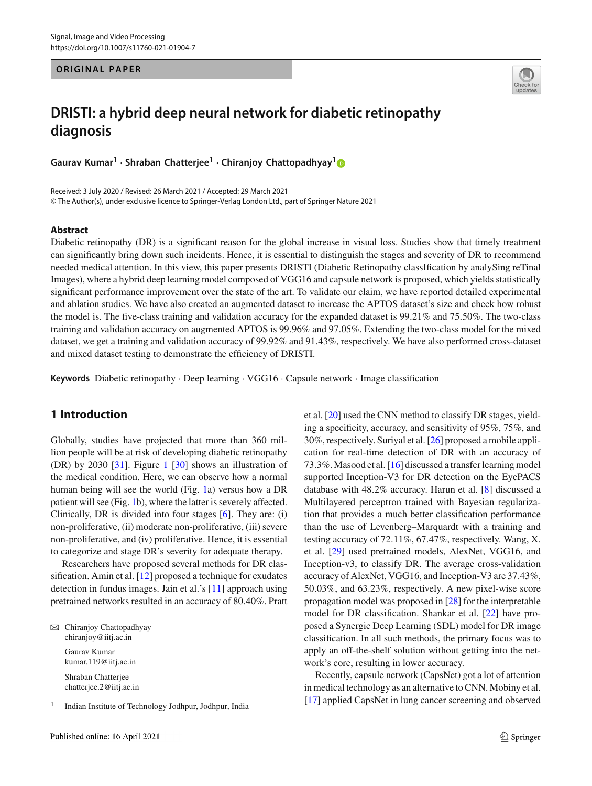**ORIGINAL PAPER**



# **DRISTI: a hybrid deep neural network for diabetic retinopathy diagnosis**

**Gaurav Kumar<sup>1</sup>** · **Shraban Chatterjee<sup>1</sup>** · **Chiranjoy Chattopadhyay[1](http://orcid.org/0000-0002-3431-0483)**

Received: 3 July 2020 / Revised: 26 March 2021 / Accepted: 29 March 2021 © The Author(s), under exclusive licence to Springer-Verlag London Ltd., part of Springer Nature 2021

#### **Abstract**

Diabetic retinopathy (DR) is a significant reason for the global increase in visual loss. Studies show that timely treatment can significantly bring down such incidents. Hence, it is essential to distinguish the stages and severity of DR to recommend needed medical attention. In this view, this paper presents DRISTI (Diabetic Retinopathy classIfication by analySing reTinal Images), where a hybrid deep learning model composed of VGG16 and capsule network is proposed, which yields statistically significant performance improvement over the state of the art. To validate our claim, we have reported detailed experimental and ablation studies. We have also created an augmented dataset to increase the APTOS dataset's size and check how robust the model is. The five-class training and validation accuracy for the expanded dataset is 99.21% and 75.50%. The two-class training and validation accuracy on augmented APTOS is 99.96% and 97.05%. Extending the two-class model for the mixed dataset, we get a training and validation accuracy of 99.92% and 91.43%, respectively. We have also performed cross-dataset and mixed dataset testing to demonstrate the efficiency of DRISTI.

**Keywords** Diabetic retinopathy · Deep learning · VGG16 · Capsule network · Image classification

# **1 Introduction**

Globally, studies have projected that more than 360 million people will be at risk of developing diabetic retinopathy (DR) by 2030 [\[31](#page-7-0)]. Figure [1](#page-1-0) [\[30](#page-7-1)] shows an illustration of the medical condition. Here, we can observe how a normal human being will see the world (Fig. [1a](#page-1-0)) versus how a DR patient will see (Fig. [1b](#page-1-0)), where the latter is severely affected. Clinically, DR is divided into four stages [\[6](#page-7-2)]. They are: (i) non-proliferative, (ii) moderate non-proliferative, (iii) severe non-proliferative, and (iv) proliferative. Hence, it is essential to categorize and stage DR's severity for adequate therapy.

Researchers have proposed several methods for DR classification. Amin et al. [\[12](#page-7-3)] proposed a technique for exudates detection in fundus images. Jain et al.'s [\[11\]](#page-7-4) approach using pretrained networks resulted in an accuracy of 80.40%. Pratt

 $\boxtimes$  Chiranjoy Chattopadhyay chiranjoy@iitj.ac.in Gaurav Kumar

> kumar.119@iitj.ac.in Shraban Chatterjee chatterjee.2@iitj.ac.in

1 Indian Institute of Technology Jodhpur, Jodhpur, India et al. [\[20](#page-7-5)] used the CNN method to classify DR stages, yielding a specificity, accuracy, and sensitivity of 95%, 75%, and 30%, respectively. Suriyal et al. [\[26](#page-7-6)] proposed a mobile application for real-time detection of DR with an accuracy of 73.3%. Masood et al. [\[16\]](#page-7-7) discussed a transfer learning model supported Inception-V3 for DR detection on the EyePACS database with 48.2% accuracy. Harun et al. [\[8](#page-7-8)] discussed a Multilayered perceptron trained with Bayesian regularization that provides a much better classification performance than the use of Levenberg–Marquardt with a training and testing accuracy of 72.11%, 67.47%, respectively. Wang, X. et al. [\[29\]](#page-7-9) used pretrained models, AlexNet, VGG16, and Inception-v3, to classify DR. The average cross-validation accuracy of AlexNet, VGG16, and Inception-V3 are 37.43%, 50.03%, and 63.23%, respectively. A new pixel-wise score propagation model was proposed in [\[28](#page-7-10)] for the interpretable model for DR classification. Shankar et al. [\[22\]](#page-7-11) have proposed a Synergic Deep Learning (SDL) model for DR image classification. In all such methods, the primary focus was to apply an off-the-shelf solution without getting into the network's core, resulting in lower accuracy.

Recently, capsule network (CapsNet) got a lot of attention in medical technology as an alternative to CNN. Mobiny et al. [\[17](#page-7-12)] applied CapsNet in lung cancer screening and observed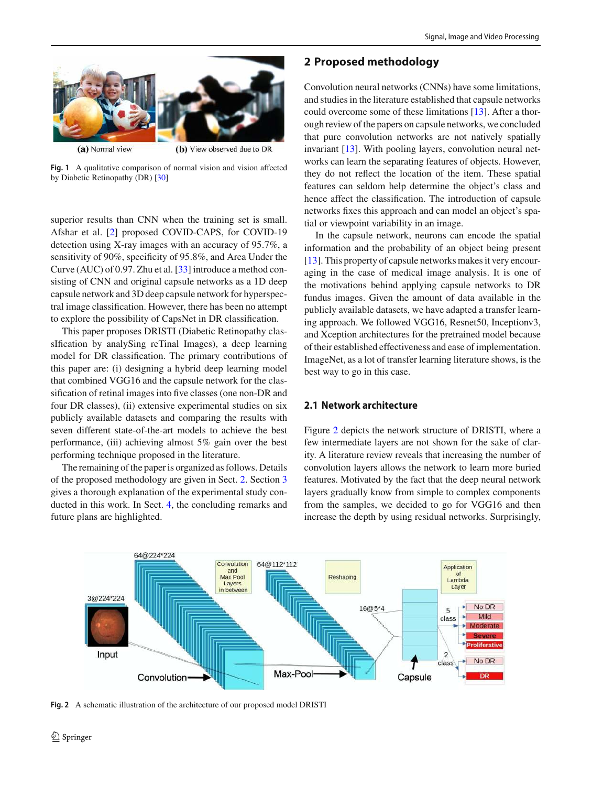

<span id="page-1-0"></span>**Fig. 1** A qualitative comparison of normal vision and vision affected by Diabetic Retinopathy (DR) [\[30\]](#page-7-1)

superior results than CNN when the training set is small. Afshar et al. [\[2](#page-7-13)] proposed COVID-CAPS, for COVID-19 detection using X-ray images with an accuracy of 95.7%, a sensitivity of 90%, specificity of 95.8%, and Area Under the Curve (AUC) of 0.97. Zhu et al. [\[33](#page-7-14)] introduce a method consisting of CNN and original capsule networks as a 1D deep capsule network and 3D deep capsule network for hyperspectral image classification. However, there has been no attempt to explore the possibility of CapsNet in DR classification.

This paper proposes DRISTI (Diabetic Retinopathy classIfication by analySing reTinal Images), a deep learning model for DR classification. The primary contributions of this paper are: (i) designing a hybrid deep learning model that combined VGG16 and the capsule network for the classification of retinal images into five classes (one non-DR and four DR classes), (ii) extensive experimental studies on six publicly available datasets and comparing the results with seven different state-of-the-art models to achieve the best performance, (iii) achieving almost 5% gain over the best performing technique proposed in the literature.

The remaining of the paper is organized as follows. Details of the proposed methodology are given in Sect. [2.](#page-1-1) Section [3](#page-3-0) gives a thorough explanation of the experimental study conducted in this work. In Sect. [4,](#page-6-0) the concluding remarks and future plans are highlighted.

# <span id="page-1-1"></span>**2 Proposed methodology**

Convolution neural networks (CNNs) have some limitations, and studies in the literature established that capsule networks could overcome some of these limitations [\[13\]](#page-7-15). After a thorough review of the papers on capsule networks, we concluded that pure convolution networks are not natively spatially invariant [\[13](#page-7-15)]. With pooling layers, convolution neural networks can learn the separating features of objects. However, they do not reflect the location of the item. These spatial features can seldom help determine the object's class and hence affect the classification. The introduction of capsule networks fixes this approach and can model an object's spatial or viewpoint variability in an image.

In the capsule network, neurons can encode the spatial information and the probability of an object being present [\[13](#page-7-15)]. This property of capsule networks makes it very encouraging in the case of medical image analysis. It is one of the motivations behind applying capsule networks to DR fundus images. Given the amount of data available in the publicly available datasets, we have adapted a transfer learning approach. We followed VGG16, Resnet50, Inceptionv3, and Xception architectures for the pretrained model because of their established effectiveness and ease of implementation. ImageNet, as a lot of transfer learning literature shows, is the best way to go in this case.

## **2.1 Network architecture**

Figure [2](#page-1-2) depicts the network structure of DRISTI, where a few intermediate layers are not shown for the sake of clarity. A literature review reveals that increasing the number of convolution layers allows the network to learn more buried features. Motivated by the fact that the deep neural network layers gradually know from simple to complex components from the samples, we decided to go for VGG16 and then increase the depth by using residual networks. Surprisingly,



<span id="page-1-2"></span>**Fig. 2** A schematic illustration of the architecture of our proposed model DRISTI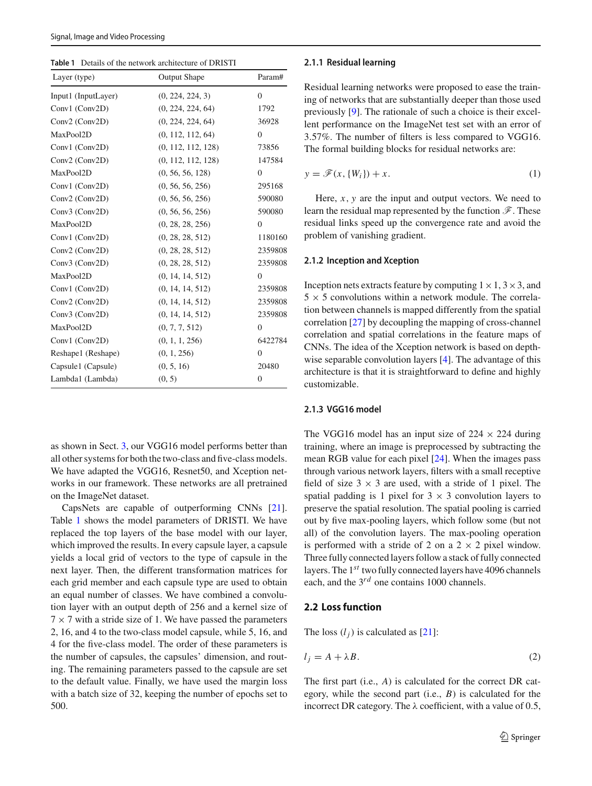<span id="page-2-0"></span>

| <b>Table 1</b> Details of the network architecture of DRISTI |  |
|--------------------------------------------------------------|--|
|                                                              |  |

| Layer (type)        | <b>Output Shape</b> | Param#           |
|---------------------|---------------------|------------------|
| Input1 (InputLayer) | (0, 224, 224, 3)    | $\Omega$         |
| Conv1 (Conv2D)      | (0, 224, 224, 64)   | 1792             |
| Conv2 (Conv2D)      | (0, 224, 224, 64)   | 36928            |
| MaxPool2D           | (0, 112, 112, 64)   | $\overline{0}$   |
| Conv1 (Conv2D)      | (0, 112, 112, 128)  | 73856            |
| Conv2 (Conv2D)      | (0, 112, 112, 128)  | 147584           |
| MaxPool2D           | (0, 56, 56, 128)    | $\mathbf{0}$     |
| Conv1 (Conv2D)      | (0, 56, 56, 256)    | 295168           |
| Conv2 (Conv2D)      | (0, 56, 56, 256)    | 590080           |
| Conv3 (Conv2D)      | (0, 56, 56, 256)    | 590080           |
| MaxPool2D           | (0, 28, 28, 256)    | $\Omega$         |
| Conv1 (Conv2D)      | (0, 28, 28, 512)    | 1180160          |
| Conv2 (Conv2D)      | (0, 28, 28, 512)    | 2359808          |
| Conv3 (Conv2D)      | (0, 28, 28, 512)    | 2359808          |
| MaxPool2D           | (0, 14, 14, 512)    | $\overline{0}$   |
| Conv1 (Conv2D)      | (0, 14, 14, 512)    | 2359808          |
| Conv2 (Conv2D)      | (0, 14, 14, 512)    | 2359808          |
| Conv3 (Conv2D)      | (0, 14, 14, 512)    | 2359808          |
| MaxPool2D           | (0, 7, 7, 512)      | $\overline{0}$   |
| Conv1 (Conv2D)      | (0, 1, 1, 256)      | 6422784          |
| Reshape1 (Reshape)  | (0, 1, 256)         | $\overline{0}$   |
| Capsule1 (Capsule)  | (0, 5, 16)          | 20480            |
| Lambda1 (Lambda)    | (0, 5)              | $\boldsymbol{0}$ |

as shown in Sect. [3,](#page-3-0) our VGG16 model performs better than all other systems for both the two-class and five-class models. We have adapted the VGG16, Resnet50, and Xception networks in our framework. These networks are all pretrained on the ImageNet dataset.

CapsNets are capable of outperforming CNNs [\[21](#page-7-16)]. Table [1](#page-2-0) shows the model parameters of DRISTI. We have replaced the top layers of the base model with our layer, which improved the results. In every capsule layer, a capsule yields a local grid of vectors to the type of capsule in the next layer. Then, the different transformation matrices for each grid member and each capsule type are used to obtain an equal number of classes. We have combined a convolution layer with an output depth of 256 and a kernel size of  $7 \times 7$  with a stride size of 1. We have passed the parameters 2, 16, and 4 to the two-class model capsule, while 5, 16, and 4 for the five-class model. The order of these parameters is the number of capsules, the capsules' dimension, and routing. The remaining parameters passed to the capsule are set to the default value. Finally, we have used the margin loss with a batch size of 32, keeping the number of epochs set to 500.

#### **2.1.1 Residual learning**

Residual learning networks were proposed to ease the training of networks that are substantially deeper than those used previously [\[9\]](#page-7-17). The rationale of such a choice is their excellent performance on the ImageNet test set with an error of 3.57%. The number of filters is less compared to VGG16. The formal building blocks for residual networks are:

$$
y = \mathcal{F}(x, \{W_i\}) + x. \tag{1}
$$

Here,  $x$ ,  $y$  are the input and output vectors. We need to learn the residual map represented by the function  $\mathscr{F}$ . These residual links speed up the convergence rate and avoid the problem of vanishing gradient.

### **2.1.2 Inception and Xception**

Inception nets extracts feature by computing  $1 \times 1$ ,  $3 \times 3$ , and  $5 \times 5$  convolutions within a network module. The correlation between channels is mapped differently from the spatial correlation [\[27\]](#page-7-18) by decoupling the mapping of cross-channel correlation and spatial correlations in the feature maps of CNNs. The idea of the Xception network is based on depthwise separable convolution layers [\[4\]](#page-7-19). The advantage of this architecture is that it is straightforward to define and highly customizable.

#### **2.1.3 VGG16 model**

The VGG16 model has an input size of  $224 \times 224$  during training, where an image is preprocessed by subtracting the mean RGB value for each pixel [\[24](#page-7-20)]. When the images pass through various network layers, filters with a small receptive field of size  $3 \times 3$  are used, with a stride of 1 pixel. The spatial padding is 1 pixel for  $3 \times 3$  convolution layers to preserve the spatial resolution. The spatial pooling is carried out by five max-pooling layers, which follow some (but not all) of the convolution layers. The max-pooling operation is performed with a stride of 2 on a  $2 \times 2$  pixel window. Three fully connected layers follow a stack of fully connected layers. The 1*st* two fully connected layers have 4096 channels each, and the 3*rd* one contains 1000 channels.

#### **2.2 Loss function**

The loss  $(l_i)$  is calculated as [\[21](#page-7-16)]:

<span id="page-2-1"></span>
$$
l_j = A + \lambda B. \tag{2}
$$

The first part (i.e., *A*) is calculated for the correct DR category, while the second part (i.e., *B*) is calculated for the incorrect DR category. The  $\lambda$  coefficient, with a value of 0.5,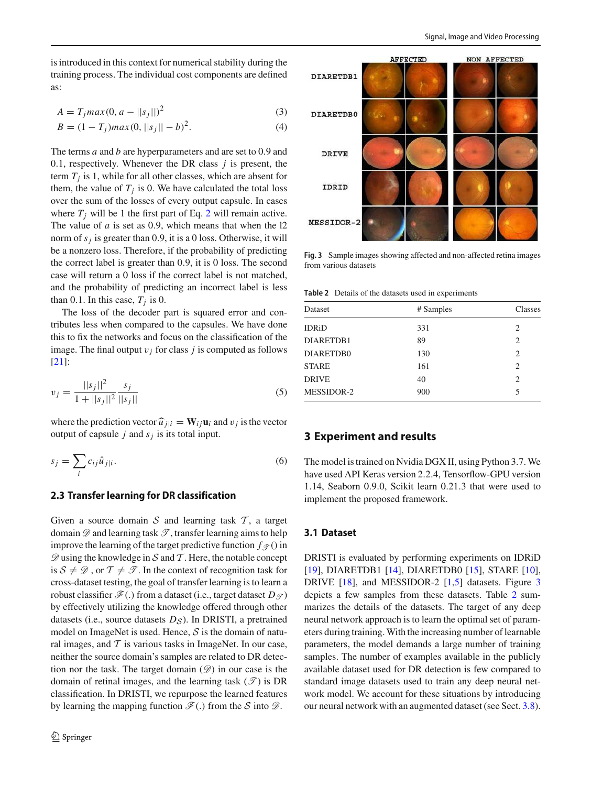$$
A = T_j \max(0, a - ||s_j||)^2
$$
 (3)

$$
B = (1 - T_j)max(0, ||s_j|| - b)^2.
$$
 (4)

The terms *a* and *b* are hyperparameters and are set to 0.9 and 0.1, respectively. Whenever the DR class *j* is present, the term *T<sup>j</sup>* is 1, while for all other classes, which are absent for them, the value of  $T_j$  is 0. We have calculated the total loss over the sum of the losses of every output capsule. In cases where  $T_i$  will be 1 the first part of Eq. [2](#page-2-1) will remain active. The value of *a* is set as 0.9, which means that when the l2 norm of *s<sup>j</sup>* is greater than 0.9, it is a 0 loss. Otherwise, it will be a nonzero loss. Therefore, if the probability of predicting the correct label is greater than 0.9, it is 0 loss. The second case will return a 0 loss if the correct label is not matched, and the probability of predicting an incorrect label is less than 0.1. In this case,  $T_j$  is 0.

The loss of the decoder part is squared error and contributes less when compared to the capsules. We have done this to fix the networks and focus on the classification of the image. The final output  $v_j$  for class  $j$  is computed as follows [\[21](#page-7-16)]:

$$
v_j = \frac{||s_j||^2}{1 + ||s_j||^2} \frac{s_j}{||s_j||} \tag{5}
$$

where the prediction vector  $\widehat{u}_{j|i} = \mathbf{W}_{ij} \mathbf{u}_i$  and  $v_j$  is the vector output of capsule  $j$  and  $s_j$  is its total input.

$$
s_j = \sum_i c_{ij} \hat{u}_{j|i}.\tag{6}
$$

#### **2.3 Transfer learning for DR classification**

Given a source domain  $S$  and learning task  $T$ , a target domain  $\mathscr D$  and learning task  $\mathscr T$ , transfer learning aims to help improve the learning of the target predictive function  $f_{\mathscr{T}}(x)$  in  $\mathscr{D}$  using the knowledge in S and T. Here, the notable concept is  $S \neq \mathcal{D}$ , or  $T \neq \mathcal{T}$ . In the context of recognition task for cross-dataset testing, the goal of transfer learning is to learn a robust classifier  $\mathcal{F}(.)$  from a dataset (i.e., target dataset  $D_{\mathcal{T}}$ ) by effectively utilizing the knowledge offered through other datasets (i.e., source datasets  $D_S$ ). In DRISTI, a pretrained model on ImageNet is used. Hence,  $S$  is the domain of natural images, and  $T$  is various tasks in ImageNet. In our case, neither the source domain's samples are related to DR detection nor the task. The target domain  $(\mathscr{D})$  in our case is the domain of retinal images, and the learning task  $(\mathcal{T})$  is DR classification. In DRISTI, we repurpose the learned features by learning the mapping function  $\mathcal{F}(.)$  from the S into  $\mathcal{D}$ .



<span id="page-3-1"></span>**Fig. 3** Sample images showing affected and non-affected retina images from various datasets

**Table 2** Details of the datasets used in experiments

<span id="page-3-2"></span>

| Dataset           | # Samples | Classes |
|-------------------|-----------|---------|
| <b>IDRiD</b>      | 331       | 2       |
| DIARETDB1         | 89        | 2       |
| DIARETDB0         | 130       | 2       |
| <b>STARE</b>      | 161       | 2       |
| <b>DRIVE</b>      | 40        | 2       |
| <b>MESSIDOR-2</b> | 900       | 5       |

#### <span id="page-3-0"></span>**3 Experiment and results**

The model is trained on Nvidia DGX II, using Python 3.7. We have used API Keras version 2.2.4, Tensorflow-GPU version 1.14, Seaborn 0.9.0, Scikit learn 0.21.3 that were used to implement the proposed framework.

# **3.1 Dataset**

DRISTI is evaluated by performing experiments on IDRiD [\[19](#page-7-21)], DIARETDB1 [\[14\]](#page-7-22), DIARETDB0 [\[15\]](#page-7-23), STARE [\[10](#page-7-24)], DRIVE [\[18](#page-7-25)], and MESSIDOR-2 [\[1](#page-7-26)[,5](#page-7-27)] datasets. Figure [3](#page-3-1) depicts a few samples from these datasets. Table [2](#page-3-2) summarizes the details of the datasets. The target of any deep neural network approach is to learn the optimal set of parameters during training. With the increasing number of learnable parameters, the model demands a large number of training samples. The number of examples available in the publicly available dataset used for DR detection is few compared to standard image datasets used to train any deep neural network model. We account for these situations by introducing our neural network with an augmented dataset (see Sect. [3.8\)](#page-6-1).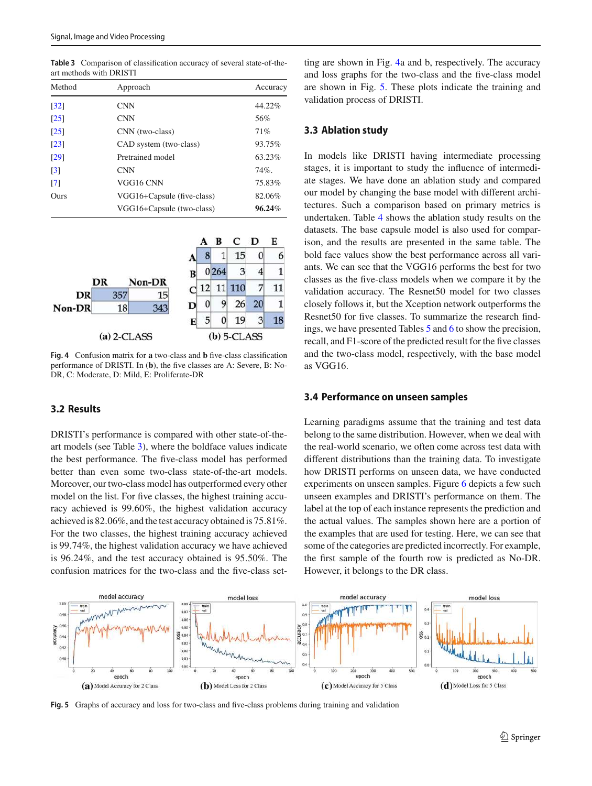| Method             | Approach                   | Accuracy |
|--------------------|----------------------------|----------|
| $\lceil 32 \rceil$ | <b>CNN</b>                 | 44.22%   |
| $\lceil 25 \rceil$ | <b>CNN</b>                 | 56%      |
| $\lceil 25 \rceil$ | CNN (two-class)            | 71%      |
| $\lceil 23 \rceil$ | CAD system (two-class)     | 93.75%   |
| $\lceil 29 \rceil$ | Pretrained model           | 63.23%   |
| $\lceil 3 \rceil$  | <b>CNN</b>                 | $74\%$ . |
| $\lceil 7 \rceil$  | VGG16 CNN                  | 75.83%   |
| Ours               | VGG16+Capsule (five-class) | 82.06%   |
|                    | VGG16+Capsule (two-class)  | 96.24%   |

<span id="page-4-0"></span>**Table 3** Comparison of classification accuracy of several state-of-theart methods with DRISTI

|               |     |        |   |    | В             | C      | D  | E  |
|---------------|-----|--------|---|----|---------------|--------|----|----|
|               |     |        |   | 8  | 1             | 15     | 0  |    |
|               |     |        | B |    | 0264          | 3      | 4  |    |
|               | DR  | Non-DR | C | 12 |               | 11 110 |    | 11 |
| DR            | 357 | 15     |   |    |               |        |    |    |
| Non-DR        | 18  | 343    | D |    | 9             | 26     | 20 |    |
|               |     |        | E | 5  | 0             | 19     | 3  | 18 |
| $(a)$ 2-CLASS |     |        |   |    | $(b)$ 5-CLASS |        |    |    |

<span id="page-4-1"></span>**Fig. 4** Confusion matrix for **a** two-class and **b** five-class classification performance of DRISTI. In (**b**), the five classes are A: Severe, B: No-DR, C: Moderate, D: Mild, E: Proliferate-DR

#### **3.2 Results**

DRISTI's performance is compared with other state-of-theart models (see Table [3\)](#page-4-0), where the boldface values indicate the best performance. The five-class model has performed better than even some two-class state-of-the-art models. Moreover, our two-class model has outperformed every other model on the list. For five classes, the highest training accuracy achieved is 99.60%, the highest validation accuracy achieved is 82.06%, and the test accuracy obtained is 75.81%. For the two classes, the highest training accuracy achieved is 99.74%, the highest validation accuracy we have achieved is 96.24%, and the test accuracy obtained is 95.50%. The confusion matrices for the two-class and the five-class set-

ting are shown in Fig. [4a](#page-4-1) and b, respectively. The accuracy and loss graphs for the two-class and the five-class model are shown in Fig. [5.](#page-4-2) These plots indicate the training and validation process of DRISTI.

#### **3.3 Ablation study**

In models like DRISTI having intermediate processing stages, it is important to study the influence of intermediate stages. We have done an ablation study and compared our model by changing the base model with different architectures. Such a comparison based on primary metrics is undertaken. Table [4](#page-5-0) shows the ablation study results on the datasets. The base capsule model is also used for comparison, and the results are presented in the same table. The bold face values show the best performance across all variants. We can see that the VGG16 performs the best for two classes as the five-class models when we compare it by the validation accuracy. The Resnet50 model for two classes closely follows it, but the Xception network outperforms the Resnet50 for five classes. To summarize the research findings, we have presented Tables [5](#page-5-1) and [6](#page-5-2) to show the precision, recall, and F1-score of the predicted result for the five classes and the two-class model, respectively, with the base model as VGG16.

#### **3.4 Performance on unseen samples**

Learning paradigms assume that the training and test data belong to the same distribution. However, when we deal with the real-world scenario, we often come across test data with different distributions than the training data. To investigate how DRISTI performs on unseen data, we have conducted experiments on unseen samples. Figure [6](#page-5-3) depicts a few such unseen examples and DRISTI's performance on them. The label at the top of each instance represents the prediction and the actual values. The samples shown here are a portion of the examples that are used for testing. Here, we can see that some of the categories are predicted incorrectly. For example, the first sample of the fourth row is predicted as No-DR. However, it belongs to the DR class.



<span id="page-4-2"></span>**Fig. 5** Graphs of accuracy and loss for two-class and five-class problems during training and validation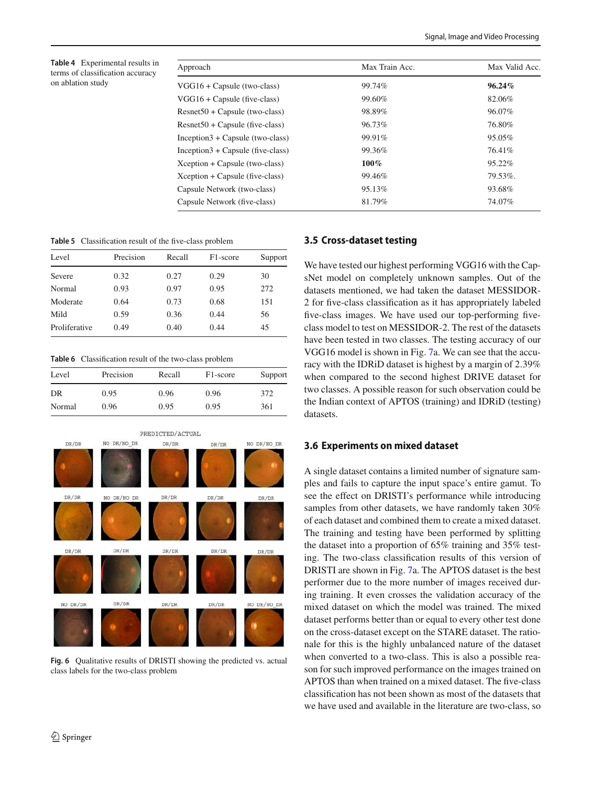<span id="page-5-0"></span>**Table 4** Experimental results in terms of classification accuracy on ablation study

| Approach                          | Max Train Acc. | Max Valid Acc. |  |
|-----------------------------------|----------------|----------------|--|
| $VGG16 + Capsule$ (two-class)     | 99.74%         | $96.24\%$      |  |
| $VGG16 + Capsule$ (five-class)    | 99.60%         | 82.06%         |  |
| $Resnet50 + Capsule$ (two-class)  | 98.89%         | 96.07%         |  |
| $Resnet50 + Capsule$ (five-class) | 96.73%         | 76.80%         |  |
| $Inception3 + Cay.$ (two-class)   | 99.91%         | 95.05%         |  |
| $Inception3 + Cay.$ (five-class)  | 99.36%         | 76.41%         |  |
| Xception + Capsule (two-class)    | $100\%$        | $95.22\%$      |  |
| Xception + Capsule (five-class)   | 99.46%         | 79.53%.        |  |
| Capsule Network (two-class)       | 95.13%         | 93.68%         |  |
| Capsule Network (five-class)      | 81.79%         | 74.07%         |  |

<span id="page-5-1"></span>**Table 5** Classification result of the five-class problem

| Precision | Recall | F <sub>1</sub> -score | Support |
|-----------|--------|-----------------------|---------|
| 0.32      | 0.27   | 0.29                  | 30      |
| 0.93      | 0.97   | 0.95                  | 272     |
| 0.64      | 0.73   | 0.68                  | 151     |
| 0.59      | 0.36   | 0.44                  | 56      |
| 0.49      | 0.40   | 0.44                  | 45      |
|           |        |                       |         |

**Table 6** Classification result of the two-class problem

<span id="page-5-2"></span>

| Level  | Precision | Recall | F <sub>1</sub> -score | Support |
|--------|-----------|--------|-----------------------|---------|
| DR     | 0.95      | 0.96   | 0.96                  | 372     |
| Normal | 0.96      | 0.95   | 0.95                  | 361     |



<span id="page-5-3"></span>**Fig. 6** Qualitative results of DRISTI showing the predicted vs. actual class labels for the two-class problem

#### **3.5 Cross-dataset testing**

We have tested our highest performing VGG16 with the CapsNet model on completely unknown samples. Out of the datasets mentioned, we had taken the dataset MESSIDOR-2 for five-class classification as it has appropriately labeled five-class images. We have used our top-performing fiveclass model to test on MESSIDOR-2. The rest of the datasets have been tested in two classes. The testing accuracy of our VGG16 model is shown in Fig. [7a](#page-6-2). We can see that the accuracy with the IDRiD dataset is highest by a margin of 2.39% when compared to the second highest DRIVE dataset for two classes. A possible reason for such observation could be the Indian context of APTOS (training) and IDRiD (testing) datasets.

#### **3.6 Experiments on mixed dataset**

A single dataset contains a limited number of signature samples and fails to capture the input space's entire gamut. To see the effect on DRISTI's performance while introducing samples from other datasets, we have randomly taken 30% of each dataset and combined them to create a mixed dataset. The training and testing have been performed by splitting the dataset into a proportion of 65% training and 35% testing. The two-class classification results of this version of DRISTI are shown in Fig. [7a](#page-6-2). The APTOS dataset is the best performer due to the more number of images received during training. It even crosses the validation accuracy of the mixed dataset on which the model was trained. The mixed dataset performs better than or equal to every other test done on the cross-dataset except on the STARE dataset. The rationale for this is the highly unbalanced nature of the dataset when converted to a two-class. This is also a possible reason for such improved performance on the images trained on APTOS than when trained on a mixed dataset. The five-class classification has not been shown as most of the datasets that we have used and available in the literature are two-class, so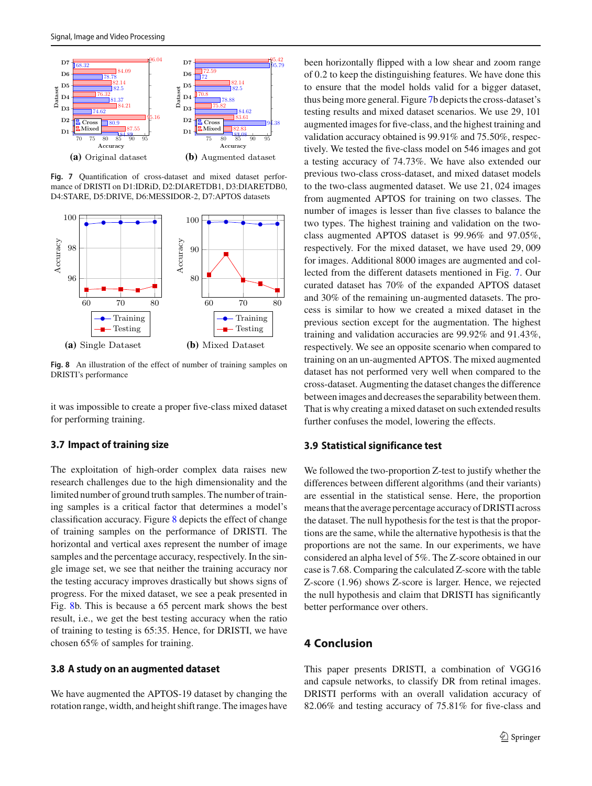

<span id="page-6-2"></span>**Fig. 7** Quantification of cross-dataset and mixed dataset performance of DRISTI on D1:IDRiD, D2:DIARETDB1, D3:DIARETDB0, D4:STARE, D5:DRIVE, D6:MESSIDOR-2, D7:APTOS datasets



<span id="page-6-3"></span>**Fig. 8** An illustration of the effect of number of training samples on DRISTI's performance

it was impossible to create a proper five-class mixed dataset for performing training.

#### **3.7 Impact of training size**

The exploitation of high-order complex data raises new research challenges due to the high dimensionality and the limited number of ground truth samples. The number of training samples is a critical factor that determines a model's classification accuracy. Figure [8](#page-6-3) depicts the effect of change of training samples on the performance of DRISTI. The horizontal and vertical axes represent the number of image samples and the percentage accuracy, respectively. In the single image set, we see that neither the training accuracy nor the testing accuracy improves drastically but shows signs of progress. For the mixed dataset, we see a peak presented in Fig. [8b](#page-6-3). This is because a 65 percent mark shows the best result, i.e., we get the best testing accuracy when the ratio of training to testing is 65:35. Hence, for DRISTI, we have chosen 65% of samples for training.

## <span id="page-6-1"></span>**3.8 A study on an augmented dataset**

We have augmented the APTOS-19 dataset by changing the rotation range, width, and height shift range. The images have been horizontally flipped with a low shear and zoom range of 0.2 to keep the distinguishing features. We have done this to ensure that the model holds valid for a bigger dataset, thus being more general. Figure [7b](#page-6-2) depicts the cross-dataset's testing results and mixed dataset scenarios. We use 29, 101 augmented images for five-class, and the highest training and validation accuracy obtained is 99.91% and 75.50%, respectively. We tested the five-class model on 546 images and got a testing accuracy of 74.73%. We have also extended our previous two-class cross-dataset, and mixed dataset models to the two-class augmented dataset. We use 21, 024 images from augmented APTOS for training on two classes. The number of images is lesser than five classes to balance the two types. The highest training and validation on the twoclass augmented APTOS dataset is 99.96% and 97.05%, respectively. For the mixed dataset, we have used 29, 009 for images. Additional 8000 images are augmented and collected from the different datasets mentioned in Fig. [7.](#page-6-2) Our curated dataset has 70% of the expanded APTOS dataset and 30% of the remaining un-augmented datasets. The process is similar to how we created a mixed dataset in the previous section except for the augmentation. The highest training and validation accuracies are 99.92% and 91.43%, respectively. We see an opposite scenario when compared to training on an un-augmented APTOS. The mixed augmented dataset has not performed very well when compared to the cross-dataset. Augmenting the dataset changes the difference between images and decreases the separability between them. That is why creating a mixed dataset on such extended results further confuses the model, lowering the effects.

# **3.9 Statistical significance test**

We followed the two-proportion Z-test to justify whether the differences between different algorithms (and their variants) are essential in the statistical sense. Here, the proportion means that the average percentage accuracy of DRISTI across the dataset. The null hypothesis for the test is that the proportions are the same, while the alternative hypothesis is that the proportions are not the same. In our experiments, we have considered an alpha level of 5%. The Z-score obtained in our case is 7.68. Comparing the calculated Z-score with the table Z-score (1.96) shows Z-score is larger. Hence, we rejected the null hypothesis and claim that DRISTI has significantly better performance over others.

# <span id="page-6-0"></span>**4 Conclusion**

This paper presents DRISTI, a combination of VGG16 and capsule networks, to classify DR from retinal images. DRISTI performs with an overall validation accuracy of 82.06% and testing accuracy of 75.81% for five-class and